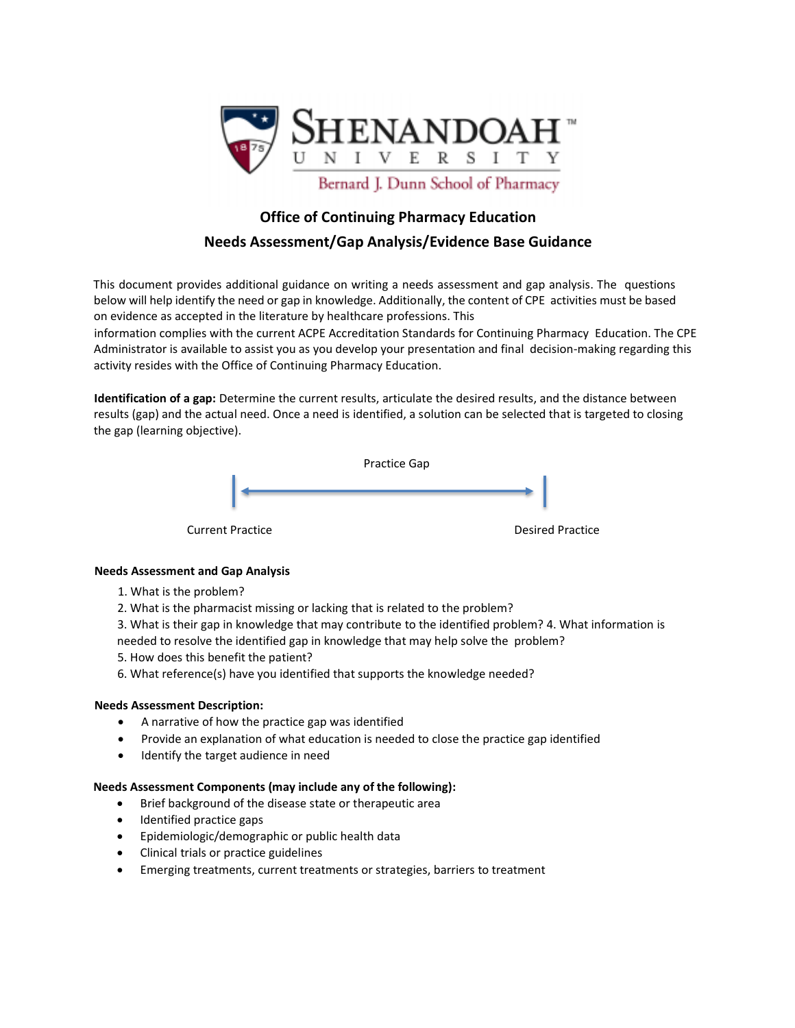

# **Office of Continuing Pharmacy Education**

## **Needs Assessment/Gap Analysis/Evidence Base Guidance**

This document provides additional guidance on writing a needs assessment and gap analysis. The questions below will help identify the need or gap in knowledge. Additionally, the content of CPE activities must be based on evidence as accepted in the literature by healthcare professions. This

information complies with the current ACPE Accreditation Standards for Continuing Pharmacy Education. The CPE Administrator is available to assist you as you develop your presentation and final decision-making regarding this activity resides with the Office of Continuing Pharmacy Education.

**Identification of a gap:** Determine the current results, articulate the desired results, and the distance between results (gap) and the actual need. Once a need is identified, a solution can be selected that is targeted to closing the gap (learning objective).



### **Needs Assessment and Gap Analysis**

- 1. What is the problem?
- 2. What is the pharmacist missing or lacking that is related to the problem?
- 3. What is their gap in knowledge that may contribute to the identified problem? 4. What information is
- needed to resolve the identified gap in knowledge that may help solve the problem?
- 5. How does this benefit the patient?
- 6. What reference(s) have you identified that supports the knowledge needed?

#### **Needs Assessment Description:**

- A narrative of how the practice gap was identified
- Provide an explanation of what education is needed to close the practice gap identified
- Identify the target audience in need

#### **Needs Assessment Components (may include any of the following):**

- Brief background of the disease state or therapeutic area
- Identified practice gaps
- Epidemiologic/demographic or public health data
- Clinical trials or practice guidelines
- Emerging treatments, current treatments or strategies, barriers to treatment